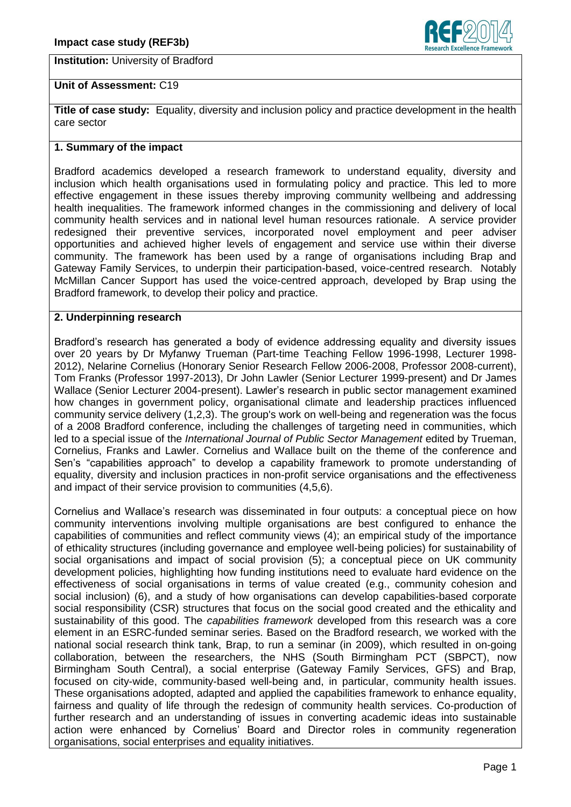**Institution:** University of Bradford



# **Unit of Assessment:** C19

**Title of case study:** Equality, diversity and inclusion policy and practice development in the health care sector

# **1. Summary of the impact**

Bradford academics developed a research framework to understand equality, diversity and inclusion which health organisations used in formulating policy and practice. This led to more effective engagement in these issues thereby improving community wellbeing and addressing health inequalities. The framework informed changes in the commissioning and delivery of local community health services and in national level human resources rationale. A service provider redesigned their preventive services, incorporated novel employment and peer adviser opportunities and achieved higher levels of engagement and service use within their diverse community. The framework has been used by a range of organisations including Brap and Gateway Family Services, to underpin their participation-based, voice-centred research. Notably McMillan Cancer Support has used the voice-centred approach, developed by Brap using the Bradford framework, to develop their policy and practice.

### **2. Underpinning research**

Bradford's research has generated a body of evidence addressing equality and diversity issues over 20 years by Dr Myfanwy Trueman (Part-time Teaching Fellow 1996-1998, Lecturer 1998- 2012), Nelarine Cornelius (Honorary Senior Research Fellow 2006-2008, Professor 2008-current), Tom Franks (Professor 1997-2013), Dr John Lawler (Senior Lecturer 1999-present) and Dr James Wallace (Senior Lecturer 2004-present). Lawler's research in public sector management examined how changes in government policy, organisational climate and leadership practices influenced community service delivery (1,2,3). The group's work on well-being and regeneration was the focus of a 2008 Bradford conference, including the challenges of targeting need in communities, which led to a special issue of the *International Journal of Public Sector Management* edited by Trueman, Cornelius, Franks and Lawler. Cornelius and Wallace built on the theme of the conference and Sen's "capabilities approach" to develop a capability framework to promote understanding of equality, diversity and inclusion practices in non-profit service organisations and the effectiveness and impact of their service provision to communities (4,5,6).

Cornelius and Wallace's research was disseminated in four outputs: a conceptual piece on how community interventions involving multiple organisations are best configured to enhance the capabilities of communities and reflect community views (4); an empirical study of the importance of ethicality structures (including governance and employee well-being policies) for sustainability of social organisations and impact of social provision (5); a conceptual piece on UK community development policies, highlighting how funding institutions need to evaluate hard evidence on the effectiveness of social organisations in terms of value created (e.g., community cohesion and social inclusion) (6), and a study of how organisations can develop capabilities-based corporate social responsibility (CSR) structures that focus on the social good created and the ethicality and sustainability of this good. The *capabilities framework* developed from this research was a core element in an ESRC-funded seminar series. Based on the Bradford research, we worked with the national social research think tank, Brap, to run a seminar (in 2009), which resulted in on-going collaboration, between the researchers, the NHS (South Birmingham PCT (SBPCT), now Birmingham South Central), a social enterprise (Gateway Family Services, GFS) and Brap, focused on city-wide, community-based well-being and, in particular, community health issues. These organisations adopted, adapted and applied the capabilities framework to enhance equality, fairness and quality of life through the redesign of community health services. Co-production of further research and an understanding of issues in converting academic ideas into sustainable action were enhanced by Cornelius' Board and Director roles in community regeneration organisations, social enterprises and equality initiatives.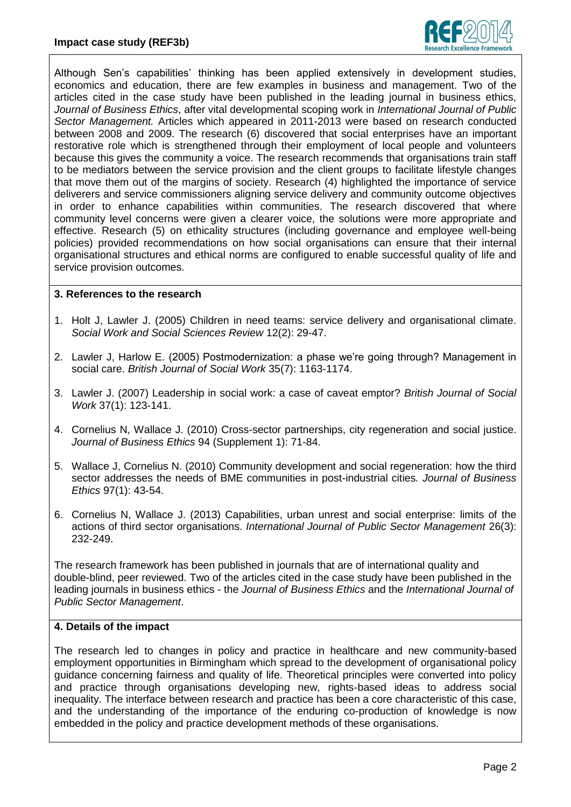

Although Sen's capabilities' thinking has been applied extensively in development studies, economics and education, there are few examples in business and management. Two of the articles cited in the case study have been published in the leading journal in business ethics, *Journal of Business Ethics*, after vital developmental scoping work in *International Journal of Public Sector Management.* Articles which appeared in 2011-2013 were based on research conducted between 2008 and 2009. The research (6) discovered that social enterprises have an important restorative role which is strengthened through their employment of local people and volunteers because this gives the community a voice. The research recommends that organisations train staff to be mediators between the service provision and the client groups to facilitate lifestyle changes that move them out of the margins of society. Research (4) highlighted the importance of service deliverers and service commissioners aligning service delivery and community outcome objectives in order to enhance capabilities within communities. The research discovered that where community level concerns were given a clearer voice, the solutions were more appropriate and effective. Research (5) on ethicality structures (including governance and employee well-being policies) provided recommendations on how social organisations can ensure that their internal organisational structures and ethical norms are configured to enable successful quality of life and service provision outcomes.

### **3. References to the research**

- 1. Holt J, Lawler J. (2005) Children in need teams: service delivery and organisational climate. *Social Work and Social Sciences Review* 12(2): 29-47.
- 2. Lawler J, Harlow E. (2005) Postmodernization: a phase we're going through? Management in social care. *British Journal of Social Work* 35(7): 1163-1174.
- 3. Lawler J. (2007) Leadership in social work: a case of caveat emptor? *British Journal of Social Work* 37(1): 123-141.
- 4. Cornelius N, Wallace J. (2010) Cross-sector partnerships, city regeneration and social justice. *Journal of Business Ethics* 94 (Supplement 1): 71-84.
- 5. Wallace J, Cornelius N. (2010) Community development and social regeneration: how the third sector addresses the needs of BME communities in post-industrial cities*. Journal of Business Ethics* 97(1): 43-54.
- 6. Cornelius N, Wallace J. (2013) Capabilities, urban unrest and social enterprise: limits of the actions of third sector organisations. *International Journal of Public Sector Management* 26(3): 232-249.

The research framework has been published in journals that are of international quality and double-blind, peer reviewed. Two of the articles cited in the case study have been published in the leading journals in business ethics - the *Journal of Business Ethics* and the *International Journal of Public Sector Management*.

# **4. Details of the impact**

The research led to changes in policy and practice in healthcare and new community-based employment opportunities in Birmingham which spread to the development of organisational policy guidance concerning fairness and quality of life. Theoretical principles were converted into policy and practice through organisations developing new, rights-based ideas to address social inequality. The interface between research and practice has been a core characteristic of this case, and the understanding of the importance of the enduring co-production of knowledge is now embedded in the policy and practice development methods of these organisations.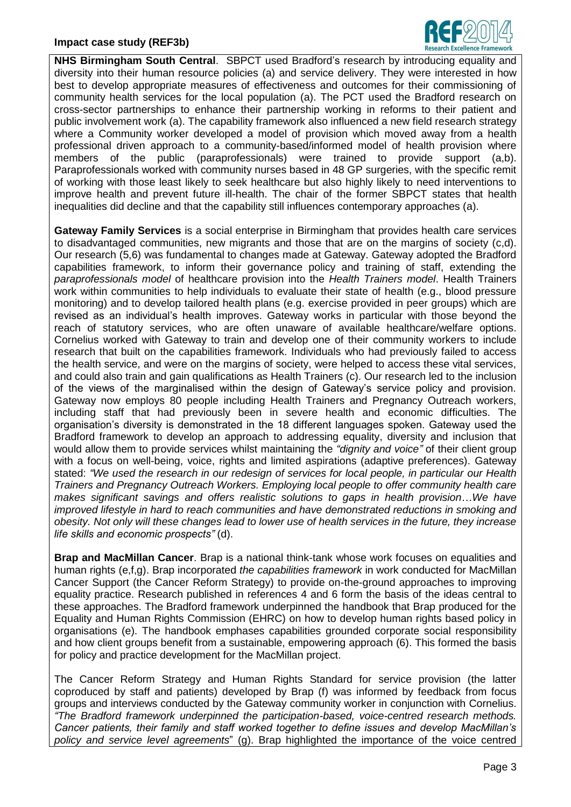

**NHS Birmingham South Central**. SBPCT used Bradford's research by introducing equality and diversity into their human resource policies (a) and service delivery. They were interested in how best to develop appropriate measures of effectiveness and outcomes for their commissioning of community health services for the local population (a). The PCT used the Bradford research on cross-sector partnerships to enhance their partnership working in reforms to their patient and public involvement work (a). The capability framework also influenced a new field research strategy where a Community worker developed a model of provision which moved away from a health professional driven approach to a community-based/informed model of health provision where members of the public (paraprofessionals) were trained to provide support (a,b). Paraprofessionals worked with community nurses based in 48 GP surgeries, with the specific remit of working with those least likely to seek healthcare but also highly likely to need interventions to improve health and prevent future ill-health. The chair of the former SBPCT states that health inequalities did decline and that the capability still influences contemporary approaches (a).

**Gateway Family Services** is a social enterprise in Birmingham that provides health care services to disadvantaged communities, new migrants and those that are on the margins of society (c,d). Our research (5,6) was fundamental to changes made at Gateway. Gateway adopted the Bradford capabilities framework, to inform their governance policy and training of staff, extending the *paraprofessionals model* of healthcare provision into the *Health Trainers model*. Health Trainers work within communities to help individuals to evaluate their state of health (e.g., blood pressure monitoring) and to develop tailored health plans (e.g. exercise provided in peer groups) which are revised as an individual's health improves. Gateway works in particular with those beyond the reach of statutory services, who are often unaware of available healthcare/welfare options. Cornelius worked with Gateway to train and develop one of their community workers to include research that built on the capabilities framework. Individuals who had previously failed to access the health service, and were on the margins of society, were helped to access these vital services, and could also train and gain qualifications as Health Trainers (c). Our research led to the inclusion of the views of the marginalised within the design of Gateway's service policy and provision. Gateway now employs 80 people including Health Trainers and Pregnancy Outreach workers, including staff that had previously been in severe health and economic difficulties. The organisation's diversity is demonstrated in the 18 different languages spoken. Gateway used the Bradford framework to develop an approach to addressing equality, diversity and inclusion that would allow them to provide services whilst maintaining the *"dignity and voice"* of their client group with a focus on well-being, voice, rights and limited aspirations (adaptive preferences). Gateway stated: *"We used the research in our redesign of services for local people, in particular our Health Trainers and Pregnancy Outreach Workers. Employing local people to offer community health care makes significant savings and offers realistic solutions to gaps in health provision*…*We have improved lifestyle in hard to reach communities and have demonstrated reductions in smoking and obesity. Not only will these changes lead to lower use of health services in the future, they increase life skills and economic prospects"* (d).

**Brap and MacMillan Cancer**. Brap is a national think-tank whose work focuses on equalities and human rights (e,f,g). Brap incorporated *the capabilities framework* in work conducted for MacMillan Cancer Support (the Cancer Reform Strategy) to provide on-the-ground approaches to improving equality practice. Research published in references 4 and 6 form the basis of the ideas central to these approaches. The Bradford framework underpinned the handbook that Brap produced for the Equality and Human Rights Commission (EHRC) on how to develop human rights based policy in organisations (e). The handbook emphases capabilities grounded corporate social responsibility and how client groups benefit from a sustainable, empowering approach (6). This formed the basis for policy and practice development for the MacMillan project.

The Cancer Reform Strategy and Human Rights Standard for service provision (the latter coproduced by staff and patients) developed by Brap (f) was informed by feedback from focus groups and interviews conducted by the Gateway community worker in conjunction with Cornelius. *"The Bradford framework underpinned the participation-based, voice-centred research methods. Cancer patients, their family and staff worked together to define issues and develop MacMillan's policy and service level agreements*" (g). Brap highlighted the importance of the voice centred